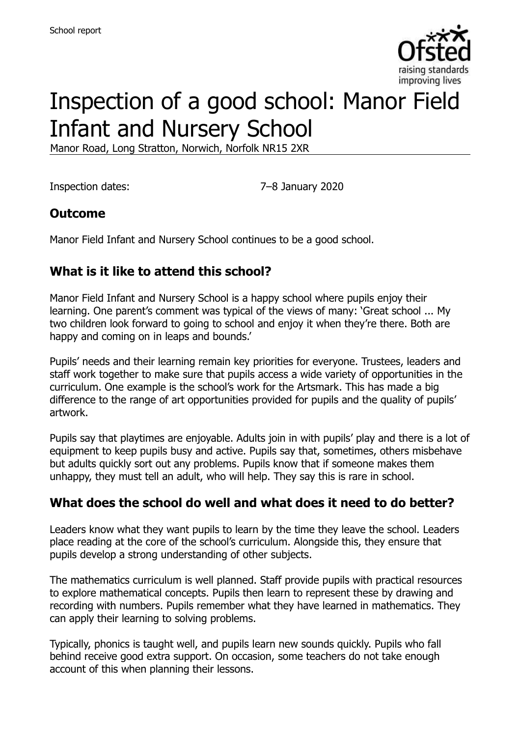

# Inspection of a good school: Manor Field Infant and Nursery School

Manor Road, Long Stratton, Norwich, Norfolk NR15 2XR

Inspection dates: 7–8 January 2020

### **Outcome**

Manor Field Infant and Nursery School continues to be a good school.

# **What is it like to attend this school?**

Manor Field Infant and Nursery School is a happy school where pupils enjoy their learning. One parent's comment was typical of the views of many: 'Great school ... My two children look forward to going to school and enjoy it when they're there. Both are happy and coming on in leaps and bounds.'

Pupils' needs and their learning remain key priorities for everyone. Trustees, leaders and staff work together to make sure that pupils access a wide variety of opportunities in the curriculum. One example is the school's work for the Artsmark. This has made a big difference to the range of art opportunities provided for pupils and the quality of pupils' artwork.

Pupils say that playtimes are enjoyable. Adults join in with pupils' play and there is a lot of equipment to keep pupils busy and active. Pupils say that, sometimes, others misbehave but adults quickly sort out any problems. Pupils know that if someone makes them unhappy, they must tell an adult, who will help. They say this is rare in school.

# **What does the school do well and what does it need to do better?**

Leaders know what they want pupils to learn by the time they leave the school. Leaders place reading at the core of the school's curriculum. Alongside this, they ensure that pupils develop a strong understanding of other subjects.

The mathematics curriculum is well planned. Staff provide pupils with practical resources to explore mathematical concepts. Pupils then learn to represent these by drawing and recording with numbers. Pupils remember what they have learned in mathematics. They can apply their learning to solving problems.

Typically, phonics is taught well, and pupils learn new sounds quickly. Pupils who fall behind receive good extra support. On occasion, some teachers do not take enough account of this when planning their lessons.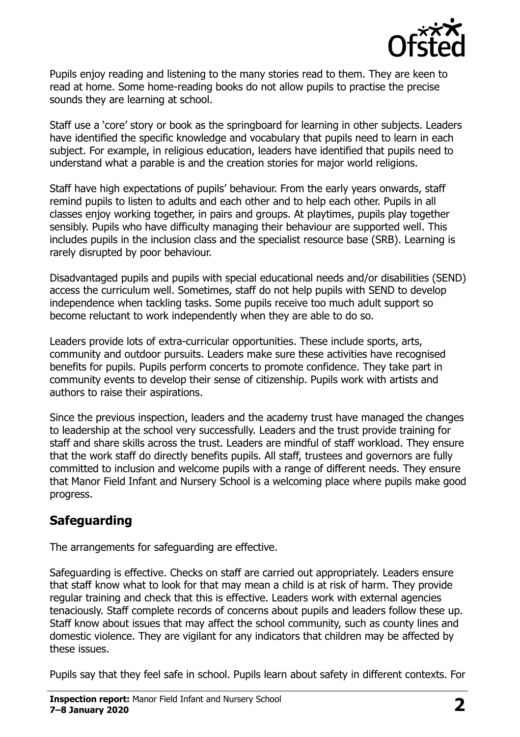

Pupils enjoy reading and listening to the many stories read to them. They are keen to read at home. Some home-reading books do not allow pupils to practise the precise sounds they are learning at school.

Staff use a 'core' story or book as the springboard for learning in other subjects. Leaders have identified the specific knowledge and vocabulary that pupils need to learn in each subject. For example, in religious education, leaders have identified that pupils need to understand what a parable is and the creation stories for major world religions.

Staff have high expectations of pupils' behaviour. From the early years onwards, staff remind pupils to listen to adults and each other and to help each other. Pupils in all classes enjoy working together, in pairs and groups. At playtimes, pupils play together sensibly. Pupils who have difficulty managing their behaviour are supported well. This includes pupils in the inclusion class and the specialist resource base (SRB). Learning is rarely disrupted by poor behaviour.

Disadvantaged pupils and pupils with special educational needs and/or disabilities (SEND) access the curriculum well. Sometimes, staff do not help pupils with SEND to develop independence when tackling tasks. Some pupils receive too much adult support so become reluctant to work independently when they are able to do so.

Leaders provide lots of extra-curricular opportunities. These include sports, arts, community and outdoor pursuits. Leaders make sure these activities have recognised benefits for pupils. Pupils perform concerts to promote confidence. They take part in community events to develop their sense of citizenship. Pupils work with artists and authors to raise their aspirations.

Since the previous inspection, leaders and the academy trust have managed the changes to leadership at the school very successfully. Leaders and the trust provide training for staff and share skills across the trust. Leaders are mindful of staff workload. They ensure that the work staff do directly benefits pupils. All staff, trustees and governors are fully committed to inclusion and welcome pupils with a range of different needs. They ensure that Manor Field Infant and Nursery School is a welcoming place where pupils make good progress.

### **Safeguarding**

The arrangements for safeguarding are effective.

Safeguarding is effective. Checks on staff are carried out appropriately. Leaders ensure that staff know what to look for that may mean a child is at risk of harm. They provide regular training and check that this is effective. Leaders work with external agencies tenaciously. Staff complete records of concerns about pupils and leaders follow these up. Staff know about issues that may affect the school community, such as county lines and domestic violence. They are vigilant for any indicators that children may be affected by these issues.

Pupils say that they feel safe in school. Pupils learn about safety in different contexts. For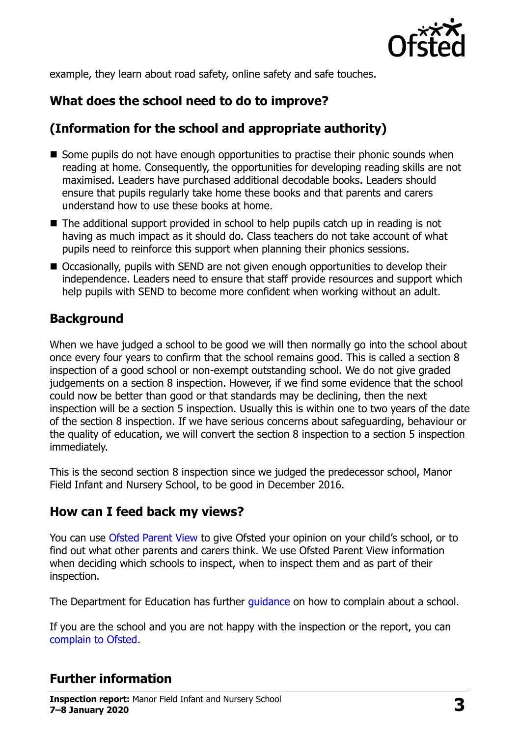

example, they learn about road safety, online safety and safe touches.

# **What does the school need to do to improve?**

# **(Information for the school and appropriate authority)**

- Some pupils do not have enough opportunities to practise their phonic sounds when reading at home. Consequently, the opportunities for developing reading skills are not maximised. Leaders have purchased additional decodable books. Leaders should ensure that pupils regularly take home these books and that parents and carers understand how to use these books at home.
- The additional support provided in school to help pupils catch up in reading is not having as much impact as it should do. Class teachers do not take account of what pupils need to reinforce this support when planning their phonics sessions.
- Occasionally, pupils with SEND are not given enough opportunities to develop their independence. Leaders need to ensure that staff provide resources and support which help pupils with SEND to become more confident when working without an adult.

### **Background**

When we have judged a school to be good we will then normally go into the school about once every four years to confirm that the school remains good. This is called a section 8 inspection of a good school or non-exempt outstanding school. We do not give graded judgements on a section 8 inspection. However, if we find some evidence that the school could now be better than good or that standards may be declining, then the next inspection will be a section 5 inspection. Usually this is within one to two years of the date of the section 8 inspection. If we have serious concerns about safeguarding, behaviour or the quality of education, we will convert the section 8 inspection to a section 5 inspection immediately.

This is the second section 8 inspection since we judged the predecessor school, Manor Field Infant and Nursery School, to be good in December 2016.

### **How can I feed back my views?**

You can use [Ofsted Parent View](https://parentview.ofsted.gov.uk/) to give Ofsted your opinion on your child's school, or to find out what other parents and carers think. We use Ofsted Parent View information when deciding which schools to inspect, when to inspect them and as part of their inspection.

The Department for Education has further quidance on how to complain about a school.

If you are the school and you are not happy with the inspection or the report, you can [complain to Ofsted.](https://www.gov.uk/complain-ofsted-report)

# **Further information**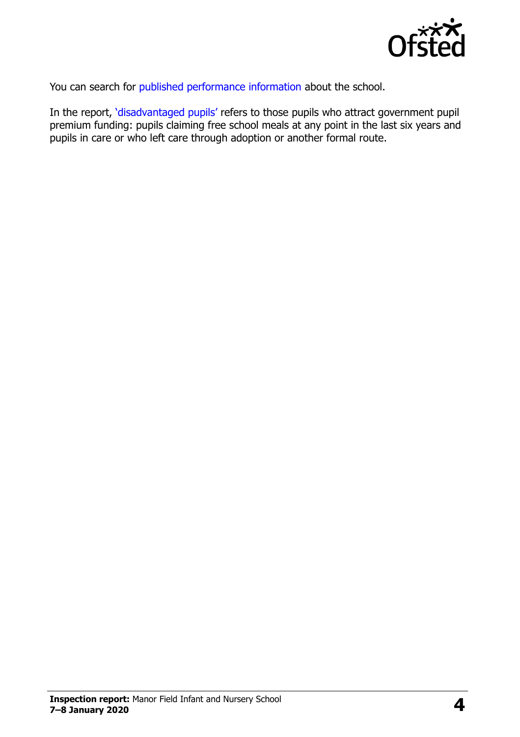

You can search for [published performance information](http://www.compare-school-performance.service.gov.uk/) about the school.

In the report, '[disadvantaged pupils](http://www.gov.uk/guidance/pupil-premium-information-for-schools-and-alternative-provision-settings)' refers to those pupils who attract government pupil premium funding: pupils claiming free school meals at any point in the last six years and pupils in care or who left care through adoption or another formal route.

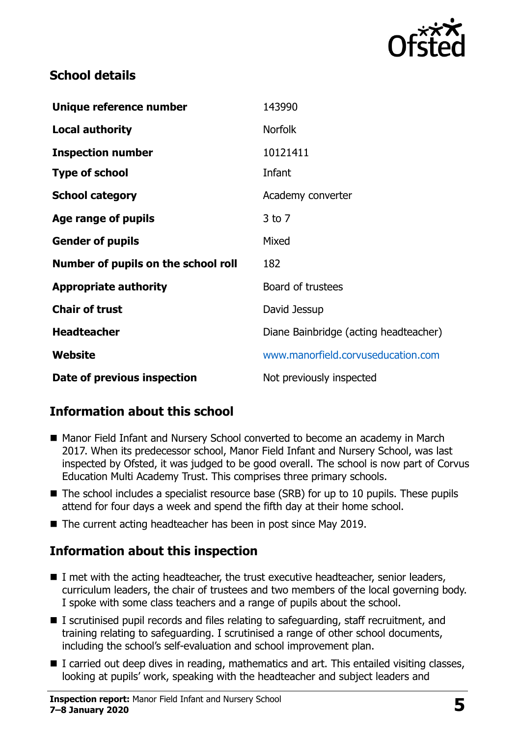

#### **School details**

| Unique reference number             | 143990                                |
|-------------------------------------|---------------------------------------|
| <b>Local authority</b>              | <b>Norfolk</b>                        |
| <b>Inspection number</b>            | 10121411                              |
| <b>Type of school</b>               | Infant                                |
| <b>School category</b>              | Academy converter                     |
| Age range of pupils                 | $3$ to $7$                            |
| <b>Gender of pupils</b>             | Mixed                                 |
| Number of pupils on the school roll | 182                                   |
| <b>Appropriate authority</b>        | Board of trustees                     |
| <b>Chair of trust</b>               | David Jessup                          |
| <b>Headteacher</b>                  | Diane Bainbridge (acting headteacher) |
| Website                             | www.manorfield.corvuseducation.com    |
| Date of previous inspection         | Not previously inspected              |

### **Information about this school**

- Manor Field Infant and Nursery School converted to become an academy in March 2017. When its predecessor school, Manor Field Infant and Nursery School, was last inspected by Ofsted, it was judged to be good overall. The school is now part of Corvus Education Multi Academy Trust. This comprises three primary schools.
- The school includes a specialist resource base (SRB) for up to 10 pupils. These pupils attend for four days a week and spend the fifth day at their home school.
- The current acting headteacher has been in post since May 2019.

### **Information about this inspection**

- I met with the acting headteacher, the trust executive headteacher, senior leaders, curriculum leaders, the chair of trustees and two members of the local governing body. I spoke with some class teachers and a range of pupils about the school.
- I scrutinised pupil records and files relating to safeguarding, staff recruitment, and training relating to safeguarding. I scrutinised a range of other school documents, including the school's self-evaluation and school improvement plan.
- I carried out deep dives in reading, mathematics and art. This entailed visiting classes, looking at pupils' work, speaking with the headteacher and subject leaders and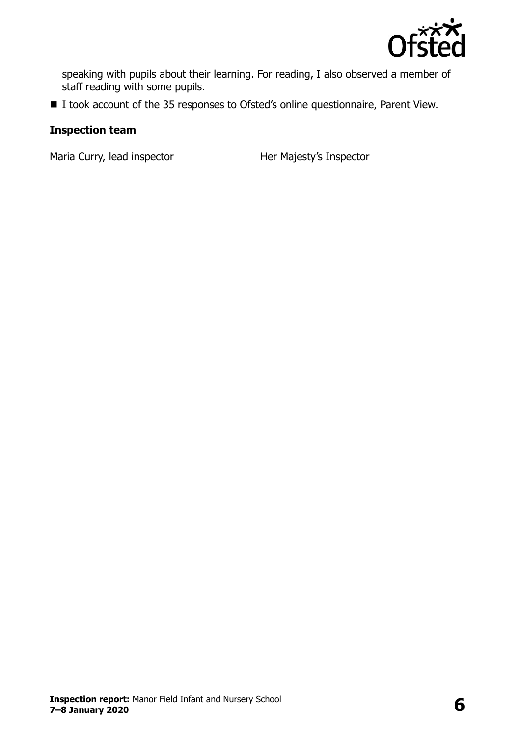

speaking with pupils about their learning. For reading, I also observed a member of staff reading with some pupils.

■ I took account of the 35 responses to Ofsted's online questionnaire, Parent View.

#### **Inspection team**

Maria Curry, lead inspector **Her Majesty's Inspector**